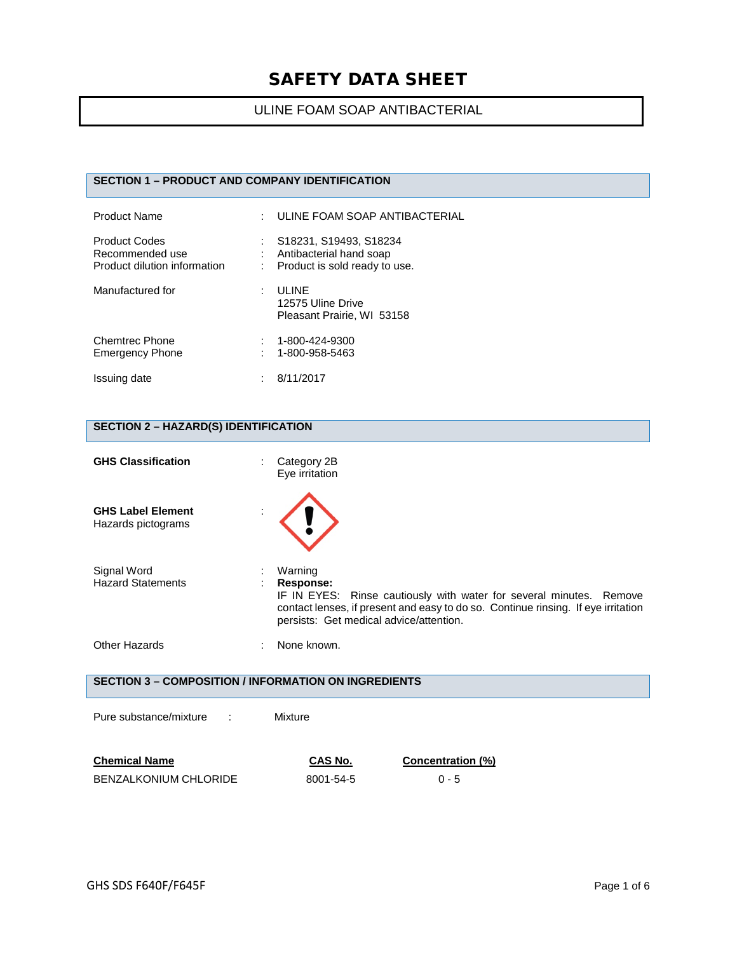# ULINE FOAM SOAP ANTIBACTERIAL

#### **SECTION 1 – PRODUCT AND COMPANY IDENTIFICATION**

| Product Name                                                            | ULINE FOAM SOAP ANTIBACTERIAL                                                      |
|-------------------------------------------------------------------------|------------------------------------------------------------------------------------|
| <b>Product Codes</b><br>Recommended use<br>Product dilution information | S18231, S19493, S18234<br>Antibacterial hand soap<br>Product is sold ready to use. |
| Manufactured for                                                        | <b>ULINE</b><br>12575 Uline Drive<br>Pleasant Prairie, WI 53158                    |
| <b>Chemtrec Phone</b><br><b>Emergency Phone</b>                         | 1-800-424-9300<br>1-800-958-5463                                                   |
| Issuing date                                                            | 8/11/2017                                                                          |

# **SECTION 2 – HAZARD(S) IDENTIFICATION**

| <b>GHS Classification</b>                      | Category 2B<br>Eye irritation                                                                                                                                                                                               |
|------------------------------------------------|-----------------------------------------------------------------------------------------------------------------------------------------------------------------------------------------------------------------------------|
| <b>GHS Label Element</b><br>Hazards pictograms |                                                                                                                                                                                                                             |
| Signal Word<br><b>Hazard Statements</b>        | Warning<br>Response:<br>IF IN EYES: Rinse cautiously with water for several minutes. Remove<br>contact lenses, if present and easy to do so. Continue rinsing. If eye irritation<br>persists: Get medical advice/attention. |
| Other Hazards                                  | None known.                                                                                                                                                                                                                 |

#### **SECTION 3 – COMPOSITION / INFORMATION ON INGREDIENTS**

Pure substance/mixture : Mixture

| <b>Chemical Name</b>  | CAS No.   | <b>Concentration (%)</b> |
|-----------------------|-----------|--------------------------|
| BENZALKONIUM CHLORIDE | 8001-54-5 | $0 - 5$                  |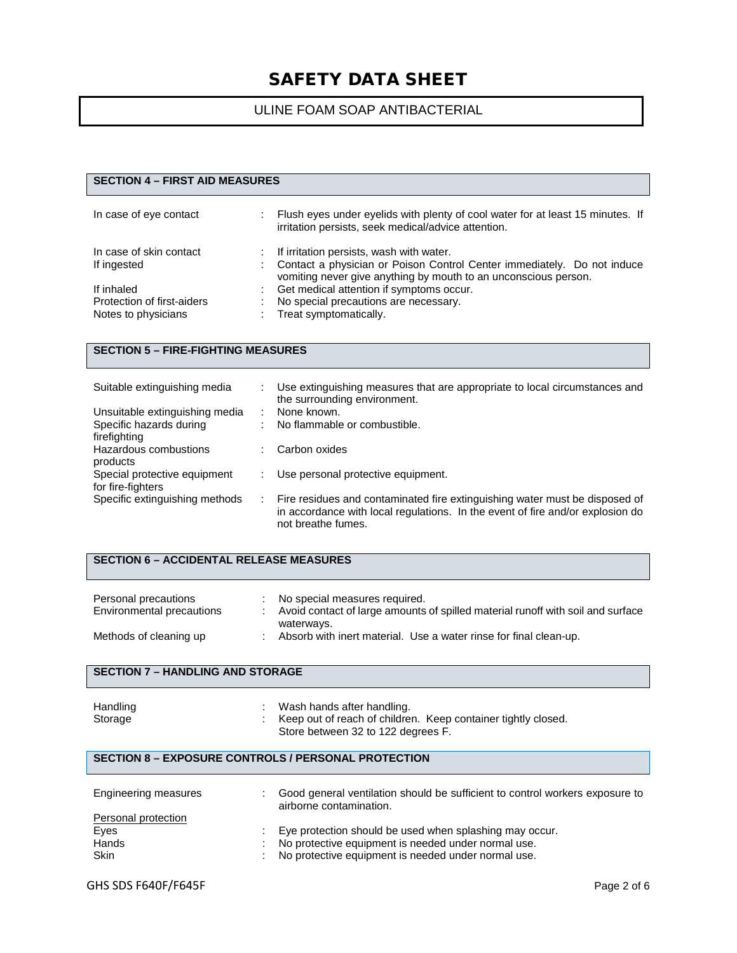### ULINE FOAM SOAP ANTIBACTERIAL

### **SECTION 4 – FIRST AID MEASURES**

| In case of eye contact     | Flush eyes under eyelids with plenty of cool water for at least 15 minutes. If<br>irritation persists, seek medical/advice attention.      |
|----------------------------|--------------------------------------------------------------------------------------------------------------------------------------------|
| In case of skin contact    | If irritation persists, wash with water.                                                                                                   |
| If ingested                | Contact a physician or Poison Control Center immediately. Do not induce<br>vomiting never give anything by mouth to an unconscious person. |
| If inhaled                 | Get medical attention if symptoms occur.                                                                                                   |
| Protection of first-aiders | No special precautions are necessary.                                                                                                      |
| Notes to physicians        | Treat symptomatically.                                                                                                                     |

#### **SECTION 5 – FIRE-FIGHTING MEASURES**

| Suitable extinguishing media                      |    | Use extinguishing measures that are appropriate to local circumstances and<br>the surrounding environment.                                                                          |
|---------------------------------------------------|----|-------------------------------------------------------------------------------------------------------------------------------------------------------------------------------------|
| Unsuitable extinguishing media                    |    | None known.                                                                                                                                                                         |
| Specific hazards during                           |    | No flammable or combustible.                                                                                                                                                        |
| firefighting<br>Hazardous combustions             |    | Carbon oxides                                                                                                                                                                       |
| products                                          |    |                                                                                                                                                                                     |
| Special protective equipment<br>for fire-fighters |    | Use personal protective equipment.                                                                                                                                                  |
| Specific extinguishing methods                    | ÷. | Fire residues and contaminated fire extinguishing water must be disposed of<br>in accordance with local regulations. In the event of fire and/or explosion do<br>not breathe fumes. |

#### **SECTION 6 – ACCIDENTAL RELEASE MEASURES**

| Personal precautions<br>Environmental precautions | No special measures required.<br>Avoid contact of large amounts of spilled material runoff with soil and surface |
|---------------------------------------------------|------------------------------------------------------------------------------------------------------------------|
| Methods of cleaning up                            | waterways.<br>Absorb with inert material. Use a water rinse for final clean-up.                                  |

#### **SECTION 7 – HANDLING AND STORAGE**

| Handling | Wash hands after handling.                                    |
|----------|---------------------------------------------------------------|
| Storage  | Keep out of reach of children. Keep container tightly closed. |
|          | Store between 32 to 122 degrees F.                            |

#### **SECTION 8 – EXPOSURE CONTROLS / PERSONAL PROTECTION**

| Engineering measures | Good general ventilation should be sufficient to control workers exposure to<br>airborne contamination. |
|----------------------|---------------------------------------------------------------------------------------------------------|
| Personal protection  |                                                                                                         |
| Eyes                 | Eye protection should be used when splashing may occur.                                                 |
| Hands                | No protective equipment is needed under normal use.                                                     |
| <b>Skin</b>          | No protective equipment is needed under normal use.                                                     |
|                      |                                                                                                         |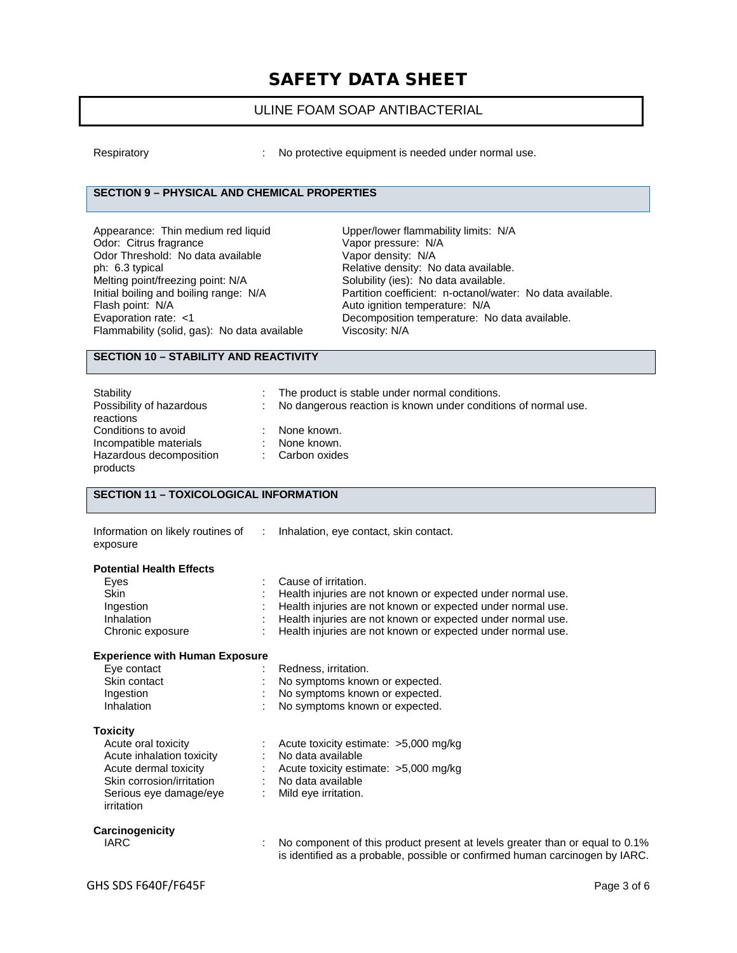### ULINE FOAM SOAP ANTIBACTERIAL

Respiratory **EXECUTE:** No protective equipment is needed under normal use.

### **SECTION 9 – PHYSICAL AND CHEMICAL PROPERTIES**

| Upper/lower flammability limits: N/A  |
|---------------------------------------|
| Vapor pressure: N/A                   |
| Vapor density: N/A                    |
| Relative density: No data available.  |
| Solubility (ies): No data available.  |
| Partition coefficient: n-octanol/wate |
| Auto ignition temperature: N/A        |
| Decomposition temperature: No dat     |
| Viscosity: N/A                        |
|                                       |

pper/lower flammability limits: N/A . .<br>apor pressure: N/A artition coefficient: n-octanol/water: No data available. uto ignition temperature: N/A ecomposition temperature: No data available. iscosity: N/A

#### **SECTION 10 – STABILITY AND REACTIVITY**

| Stability                |                | : The product is stable under normal conditions.                 |
|--------------------------|----------------|------------------------------------------------------------------|
| Possibility of hazardous |                | : No dangerous reaction is known under conditions of normal use. |
| reactions                |                |                                                                  |
| Conditions to avoid      |                | None known.                                                      |
| Incompatible materials   | $\mathbb{R}^n$ | None known.                                                      |
| Hazardous decomposition  |                | Carbon oxides                                                    |
| products                 |                |                                                                  |

#### **SECTION 11 – TOXICOLOGICAL INFORMATION**

| Information on likely routines of :<br>exposure                                                                                                                   | Inhalation, eye contact, skin contact.                                                                                                                                                                                                                                           |
|-------------------------------------------------------------------------------------------------------------------------------------------------------------------|----------------------------------------------------------------------------------------------------------------------------------------------------------------------------------------------------------------------------------------------------------------------------------|
| <b>Potential Health Effects</b><br>Eyes<br><b>Skin</b><br>Ingestion<br>Inhalation<br>Chronic exposure                                                             | Cause of irritation.<br>Health injuries are not known or expected under normal use.<br>Health injuries are not known or expected under normal use.<br>Health injuries are not known or expected under normal use.<br>Health injuries are not known or expected under normal use. |
| <b>Experience with Human Exposure</b><br>Eye contact<br>Skin contact<br>Ingestion<br>Inhalation                                                                   | Redness, irritation.<br>No symptoms known or expected.<br>No symptoms known or expected.<br>No symptoms known or expected.                                                                                                                                                       |
| <b>Toxicity</b><br>Acute oral toxicity<br>Acute inhalation toxicity<br>Acute dermal toxicity<br>Skin corrosion/irritation<br>Serious eye damage/eye<br>irritation | Acute toxicity estimate: $>5,000$ mg/kg<br>No data available<br>: Acute toxicity estimate: $>5,000$ mg/kg<br>: No data available<br>Mild eye irritation.                                                                                                                         |
| Carcinogenicity<br><b>IARC</b>                                                                                                                                    | No component of this product present at levels greater than or equal to 0.1%<br>is identified as a probable, possible or confirmed human carcinogen by IARC.                                                                                                                     |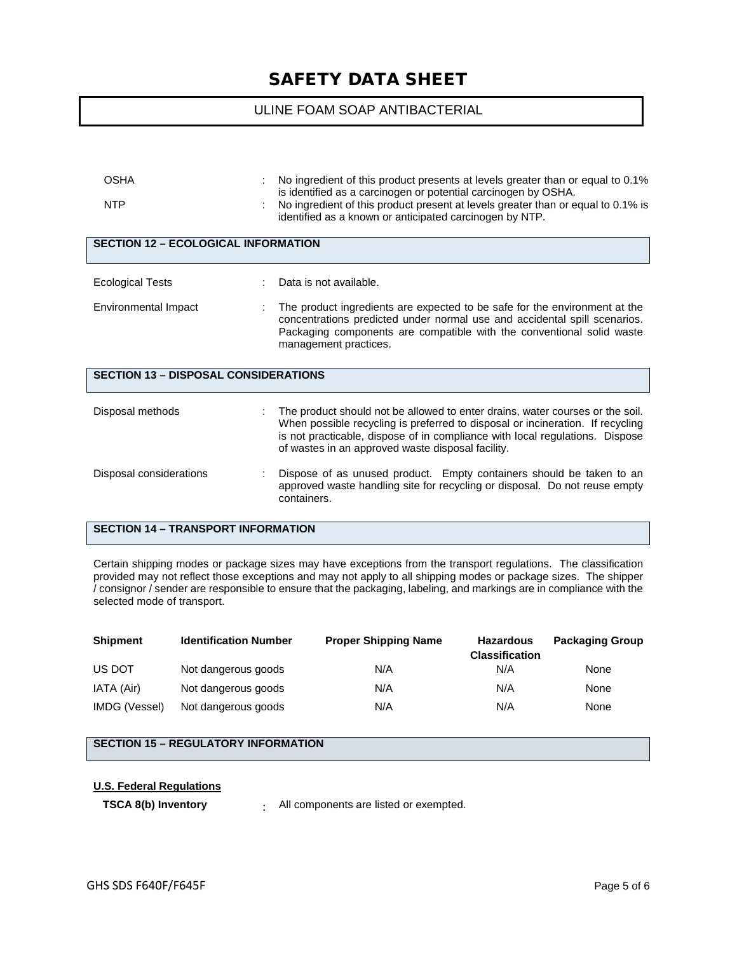### ULINE FOAM SOAP ANTIBACTERIAL

| <b>OSHA</b><br><b>NTP</b>                   | No ingredient of this product presents at levels greater than or equal to 0.1%<br>is identified as a carcinogen or potential carcinogen by OSHA.<br>No ingredient of this product present at levels greater than or equal to 0.1% is<br>identified as a known or anticipated carcinogen by NTP.      |
|---------------------------------------------|------------------------------------------------------------------------------------------------------------------------------------------------------------------------------------------------------------------------------------------------------------------------------------------------------|
| <b>SECTION 12 - ECOLOGICAL INFORMATION</b>  |                                                                                                                                                                                                                                                                                                      |
| <b>Ecological Tests</b>                     | Data is not available.                                                                                                                                                                                                                                                                               |
| Environmental Impact                        | The product ingredients are expected to be safe for the environment at the<br>concentrations predicted under normal use and accidental spill scenarios.<br>Packaging components are compatible with the conventional solid waste<br>management practices.                                            |
| <b>SECTION 13 - DISPOSAL CONSIDERATIONS</b> |                                                                                                                                                                                                                                                                                                      |
| Disposal methods                            | The product should not be allowed to enter drains, water courses or the soil.<br>When possible recycling is preferred to disposal or incineration. If recycling<br>is not practicable, dispose of in compliance with local regulations. Dispose<br>of wastes in an approved waste disposal facility. |
| Disposal considerations                     | Dispose of as unused product. Empty containers should be taken to an<br>approved waste handling site for recycling or disposal. Do not reuse empty<br>containers.                                                                                                                                    |
| <b>SECTION 14 - TRANSPORT INFORMATION</b>   |                                                                                                                                                                                                                                                                                                      |

Certain shipping modes or package sizes may have exceptions from the transport regulations. The classification provided may not reflect those exceptions and may not apply to all shipping modes or package sizes. The shipper / consignor / sender are responsible to ensure that the packaging, labeling, and markings are in compliance with the selected mode of transport.

| <b>Shipment</b> | <b>Identification Number</b> | <b>Proper Shipping Name</b> | <b>Hazardous</b><br><b>Classification</b> | <b>Packaging Group</b> |
|-----------------|------------------------------|-----------------------------|-------------------------------------------|------------------------|
| US DOT          | Not dangerous goods          | N/A                         | N/A                                       | None                   |
| IATA (Air)      | Not dangerous goods          | N/A                         | N/A                                       | None                   |
| IMDG (Vessel)   | Not dangerous goods          | N/A                         | N/A                                       | None                   |

### **SECTION 15 – REGULATORY INFORMATION**

#### **U.S. Federal Regulations**

**TSCA 8(b) Inventory** : All components are listed or exempted.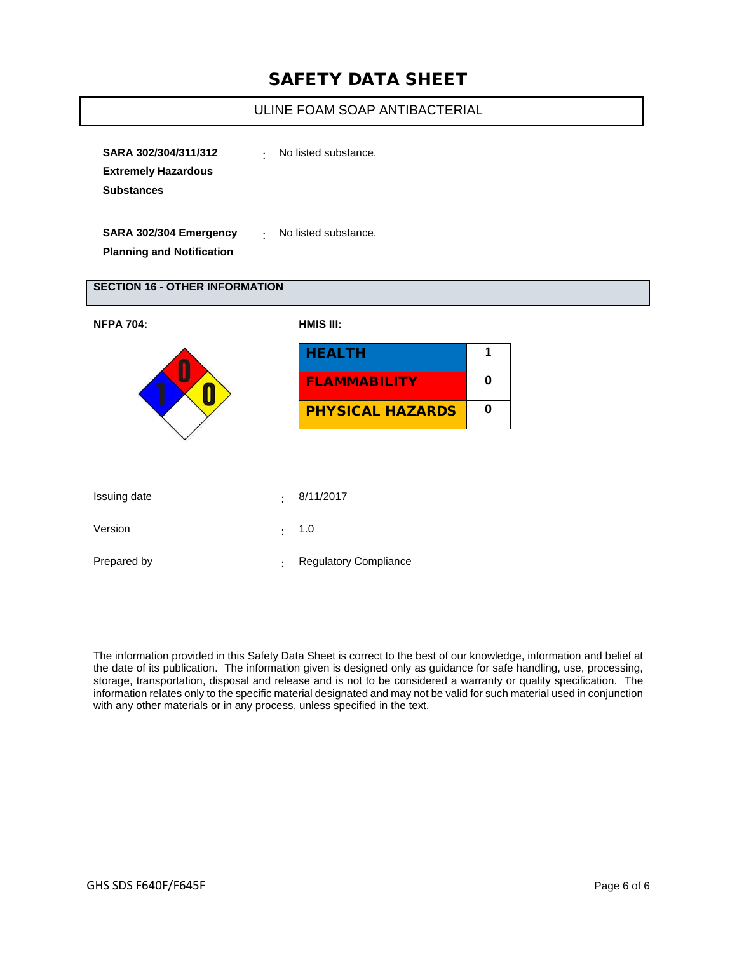### ULINE FOAM SOAP ANTIBACTERIAL

| SARA 302/304/311/312       | No listed substance.<br>$\bullet$ |
|----------------------------|-----------------------------------|
| <b>Extremely Hazardous</b> |                                   |
| <b>Substances</b>          |                                   |
|                            |                                   |
|                            |                                   |

**SARA 302/304 Emergency Planning and Notification**

: No listed substance.

#### **SECTION 16 - OTHER INFORMATION**

| <b>NFPA 704:</b> | HMIS III:      |                              |              |
|------------------|----------------|------------------------------|--------------|
|                  |                | <b>HEALTH</b>                | $\mathbf{1}$ |
|                  |                | <b>FLAMMABILITY</b>          | 0            |
|                  |                | <b>PHYSICAL HAZARDS</b>      | 0            |
|                  |                |                              |              |
|                  |                |                              |              |
| Issuing date     | ٠              | 8/11/2017                    |              |
| Version          | ٠              | 1.0                          |              |
| Prepared by      | $\ddot{\cdot}$ | <b>Regulatory Compliance</b> |              |

The information provided in this Safety Data Sheet is correct to the best of our knowledge, information and belief at the date of its publication. The information given is designed only as guidance for safe handling, use, processing, storage, transportation, disposal and release and is not to be considered a warranty or quality specification. The information relates only to the specific material designated and may not be valid for such material used in conjunction with any other materials or in any process, unless specified in the text.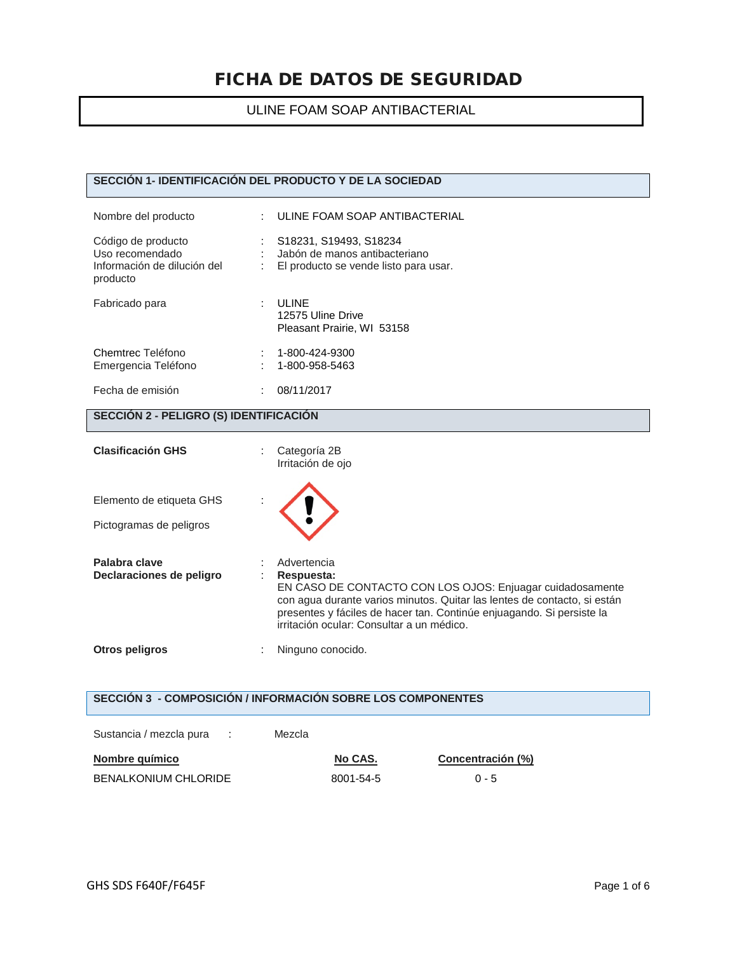### ULINE FOAM SOAP ANTIBACTERIAL

#### **SECCIÓN 1- IDENTIFICACIÓN DEL PRODUCTO Y DE LA SOCIEDAD**

| Nombre del producto                                                              | : ULINE FOAM SOAP ANTIBACTERIAL                                                                    |
|----------------------------------------------------------------------------------|----------------------------------------------------------------------------------------------------|
| Código de producto<br>Uso recomendado<br>Información de dilución del<br>producto | : S18231, S19493, S18234<br>Jabón de manos antibacteriano<br>El producto se vende listo para usar. |
| Fabricado para                                                                   | <b>ULINE</b><br>12575 Uline Drive<br>Pleasant Prairie, WI 53158                                    |
| Chemtrec Teléfono<br>Emergencia Teléfono                                         | 1-800-424-9300<br>1-800-958-5463                                                                   |
| Fecha de emisión                                                                 | 08/11/2017                                                                                         |

#### **SECCIÓN 2 - PELIGRO (S) IDENTIFICACIÓN**

| <b>Clasificación GHS</b>                            | Categoría 2B<br>Irritación de ojo                                                                                                                                                                                                                                                        |
|-----------------------------------------------------|------------------------------------------------------------------------------------------------------------------------------------------------------------------------------------------------------------------------------------------------------------------------------------------|
| Elemento de etiqueta GHS<br>Pictogramas de peligros |                                                                                                                                                                                                                                                                                          |
| Palabra clave<br>Declaraciones de peligro           | Advertencia<br>Respuesta:<br>EN CASO DE CONTACTO CON LOS OJOS: Enjuagar cuidadosamente<br>con agua durante varios minutos. Quitar las lentes de contacto, si están<br>presentes y fáciles de hacer tan. Continúe enjuagando. Si persiste la<br>irritación ocular: Consultar a un médico. |
| Otros peligros                                      | Ninguno conocido.                                                                                                                                                                                                                                                                        |

### **SECCIÓN 3 - COMPOSICIÓN / INFORMACIÓN SOBRE LOS COMPONENTES**

| Sustancia / mezcla pura     | <b>Contract</b> | Mezcla |           |                   |
|-----------------------------|-----------------|--------|-----------|-------------------|
| Nombre químico              |                 |        | No CAS.   | Concentración (%) |
| <b>BENALKONIUM CHLORIDE</b> |                 |        | 8001-54-5 | $0 - 5$           |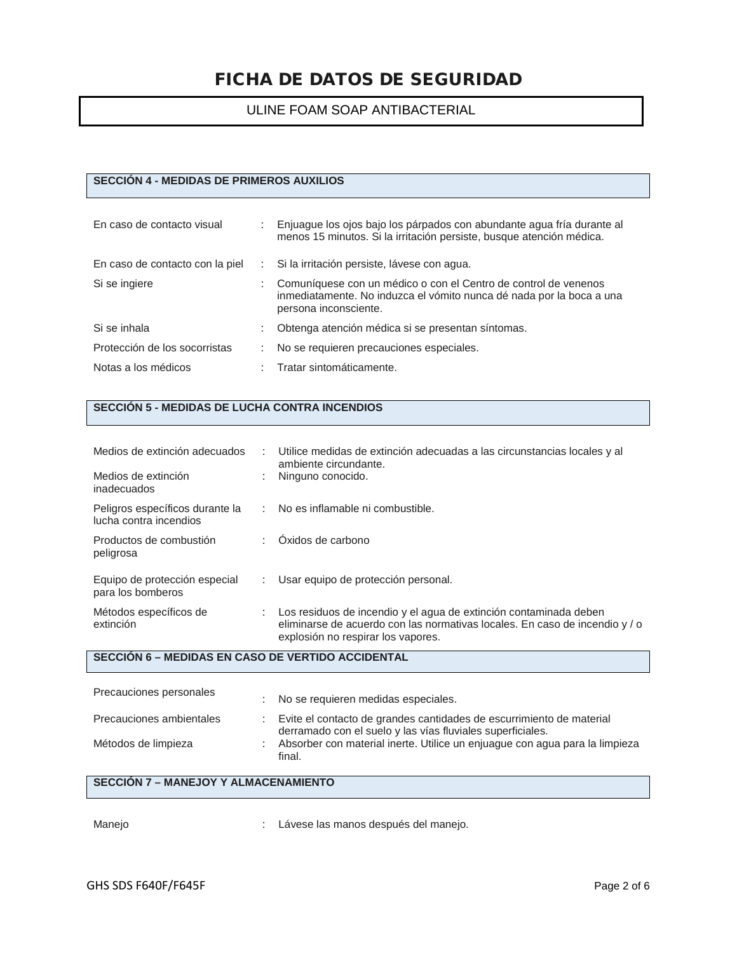### ULINE FOAM SOAP ANTIBACTERIAL

### **SECCIÓN 4 - MEDIDAS DE PRIMEROS AUXILIOS**

| En caso de contacto visual      |   | Enjuague los ojos bajo los párpados con abundante agua fría durante al<br>menos 15 minutos. Si la irritación persiste, busque atención médica.                   |
|---------------------------------|---|------------------------------------------------------------------------------------------------------------------------------------------------------------------|
| En caso de contacto con la piel |   | Si la irritación persiste, lávese con agua.                                                                                                                      |
| Si se ingiere                   |   | Comuníquese con un médico o con el Centro de control de venenos<br>inmediatamente. No induzca el vómito nunca dé nada por la boca a una<br>persona inconsciente. |
| Si se inhala                    | ÷ | Obtenga atención médica si se presentan síntomas.                                                                                                                |
| Protección de los socorristas   |   | No se requieren precauciones especiales.                                                                                                                         |
| Notas a los médicos             |   | Tratar sintomáticamente.                                                                                                                                         |

#### **SECCIÓN 5 - MEDIDAS DE LUCHA CONTRA INCENDIOS**

| Medios de extinción adecuados                             |   | Utilice medidas de extinción adecuadas a las circunstancias locales y al<br>ambiente circundante.                                                                                      |
|-----------------------------------------------------------|---|----------------------------------------------------------------------------------------------------------------------------------------------------------------------------------------|
| Medios de extinción<br>inadecuados                        |   | Ninguno conocido.                                                                                                                                                                      |
| Peligros específicos durante la<br>lucha contra incendios |   | : No es inflamable ni combustible.                                                                                                                                                     |
| Productos de combustión<br>peligrosa                      | ÷ | Oxidos de carbono                                                                                                                                                                      |
| Equipo de protección especial<br>para los bomberos        |   | : Usar equipo de protección personal.                                                                                                                                                  |
| Métodos específicos de<br>extinción                       | ÷ | Los residuos de incendio y el agua de extinción contaminada deben<br>eliminarse de acuerdo con las normativas locales. En caso de incendio y / o<br>explosión no respirar los vapores. |

#### **SECCIÓN 6 – MEDIDAS EN CASO DE VERTIDO ACCIDENTAL**

| Precauciones personales  | No se requieren medidas especiales.                                                                                                |
|--------------------------|------------------------------------------------------------------------------------------------------------------------------------|
| Precauciones ambientales | Evite el contacto de grandes cantidades de escurrimiento de material<br>derramado con el suelo y las vías fluviales superficiales. |
| Métodos de limpieza      | Absorber con material inerte. Utilice un enjuague con agua para la limpieza<br>final.                                              |

# **SECCIÓN 7 – MANEJOY Y ALMACENAMIENTO**

Manejo  $\blacksquare$  : Lávese las manos después del manejo.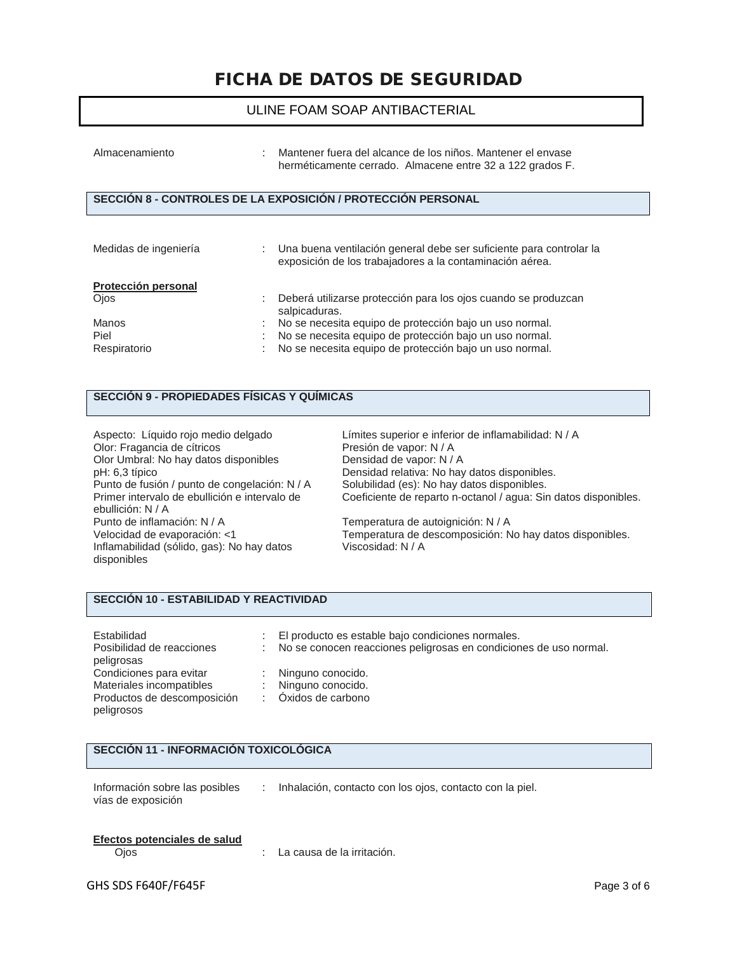#### ULINE FOAM SOAP ANTIBACTERIAL

| Almacenamiento              | ÷. | Mantener fuera del alcance de los niños. Mantener el envase<br>herméticamente cerrado. Almacene entre 32 a 122 grados F.          |
|-----------------------------|----|-----------------------------------------------------------------------------------------------------------------------------------|
|                             |    | SECCIÓN 8 - CONTROLES DE LA EXPOSICIÓN / PROTECCIÓN PERSONAL                                                                      |
| Medidas de ingeniería       |    | : Una buena ventilación general debe ser suficiente para controlar la<br>exposición de los trabajadores a la contaminación aérea. |
| Protección personal<br>Ojos | ٠  | Deberá utilizarse protección para los ojos cuando se produzcan<br>- - Le : - - - Le : - - -                                       |

|              | salpicaduras.                                             |
|--------------|-----------------------------------------------------------|
| Manos        | No se necesita equipo de protección bajo un uso normal.   |
| Piel         | No se necesita equipo de protección bajo un uso normal.   |
| Respiratorio | : No se necesita equipo de protección bajo un uso normal. |

#### **SECCIÓN 9 - PROPIEDADES FÍSICAS Y QUÍMICAS**

| Aspecto: Líquido rojo medio delgado<br>Olor: Fragancia de cítricos<br>Olor Umbral: No hay datos disponibles<br>pH: 6,3 típico | Límites superior e inferior de inflamabilidad: N / A<br>Presión de vapor: N / A<br>Densidad de vapor: N / A<br>Densidad relativa: No hay datos disponibles. |
|-------------------------------------------------------------------------------------------------------------------------------|-------------------------------------------------------------------------------------------------------------------------------------------------------------|
| Punto de fusión / punto de congelación: N / A<br>Primer intervalo de ebullición e intervalo de<br>ebullición: N / A           | Solubilidad (es): No hay datos disponibles.<br>Coeficiente de reparto n-octanol / agua: Sin datos disponibles.                                              |
| Punto de inflamación: N / A<br>Velocidad de evaporación: <1<br>Inflamabilidad (sólido, gas): No hay datos<br>disponibles      | Temperatura de autoignición: N / A<br>Temperatura de descomposición: No hay datos disponibles.<br>Viscosidad: N / A                                         |

#### **SECCIÓN 10 - ESTABILIDAD Y REACTIVIDAD**

| Estabilidad<br>Posibilidad de reacciones | : El producto es estable bajo condiciones normales.<br>: No se conocen reacciones peligrosas en condiciones de uso normal. |
|------------------------------------------|----------------------------------------------------------------------------------------------------------------------------|
| peligrosas                               |                                                                                                                            |
| Condiciones para evitar                  | : Ninguno conocido.                                                                                                        |
| Materiales incompatibles                 | : Ninguno conocido.                                                                                                        |
| Productos de descomposición              | : Oxidos de carbono                                                                                                        |
| peligrosos                               |                                                                                                                            |

### **SECCIÓN 11 - INFORMACIÓN TOXICOLÓGICA**

Información sobre las posibles vías de exposición : Inhalación, contacto con los ojos, contacto con la piel.

# **Efectos potenciales de salud**

: La causa de la irritación.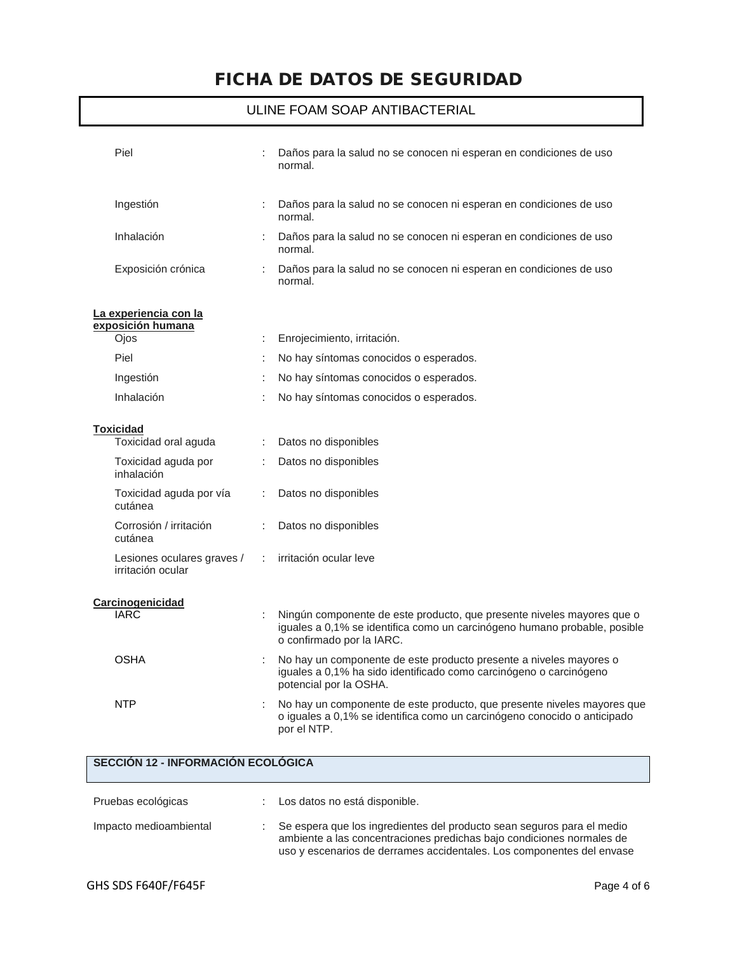# ULINE FOAM SOAP ANTIBACTERIAL

| Piel                                            |   | Daños para la salud no se conocen ni esperan en condiciones de uso<br>normal.                                                                                                    |
|-------------------------------------------------|---|----------------------------------------------------------------------------------------------------------------------------------------------------------------------------------|
| Ingestión                                       |   | Daños para la salud no se conocen ni esperan en condiciones de uso<br>normal.                                                                                                    |
| Inhalación                                      |   | Daños para la salud no se conocen ni esperan en condiciones de uso<br>normal.                                                                                                    |
| Exposición crónica                              |   | Daños para la salud no se conocen ni esperan en condiciones de uso<br>normal.                                                                                                    |
| La experiencia con la<br>exposición humana      |   |                                                                                                                                                                                  |
| Ojos                                            | ÷ | Enrojecimiento, irritación.                                                                                                                                                      |
| Piel                                            |   | No hay síntomas conocidos o esperados.                                                                                                                                           |
| Ingestión                                       |   | No hay síntomas conocidos o esperados.                                                                                                                                           |
| Inhalación                                      |   | No hay síntomas conocidos o esperados.                                                                                                                                           |
|                                                 |   |                                                                                                                                                                                  |
| <b>Toxicidad</b><br>Toxicidad oral aguda        | ÷ | Datos no disponibles                                                                                                                                                             |
| Toxicidad aguda por<br>inhalación               |   | Datos no disponibles                                                                                                                                                             |
| Toxicidad aguda por vía<br>cutánea              |   | Datos no disponibles                                                                                                                                                             |
| Corrosión / irritación<br>cutánea               |   | Datos no disponibles                                                                                                                                                             |
| Lesiones oculares graves /<br>irritación ocular | ÷ | irritación ocular leve                                                                                                                                                           |
|                                                 |   |                                                                                                                                                                                  |
| Carcinogenicidad<br><b>IARC</b>                 |   | Ningún componente de este producto, que presente niveles mayores que o<br>iguales a 0,1% se identifica como un carcinógeno humano probable, posible<br>o confirmado por la IARC. |
| <b>OSHA</b>                                     |   | No hay un componente de este producto presente a niveles mayores o<br>iguales a 0,1% ha sido identificado como carcinógeno o carcinógeno<br>potencial por la OSHA.               |
| <b>NTP</b>                                      |   | No hay un componente de este producto, que presente niveles mayores que<br>o iguales a 0,1% se identifica como un carcinógeno conocido o anticipado<br>por el NTP.               |
| SECCIÓN 12 - INFORMACIÓN ECOLÓGICA              |   |                                                                                                                                                                                  |
|                                                 |   |                                                                                                                                                                                  |
| Pruebas ecológicas                              |   | Los datos no está disponible.                                                                                                                                                    |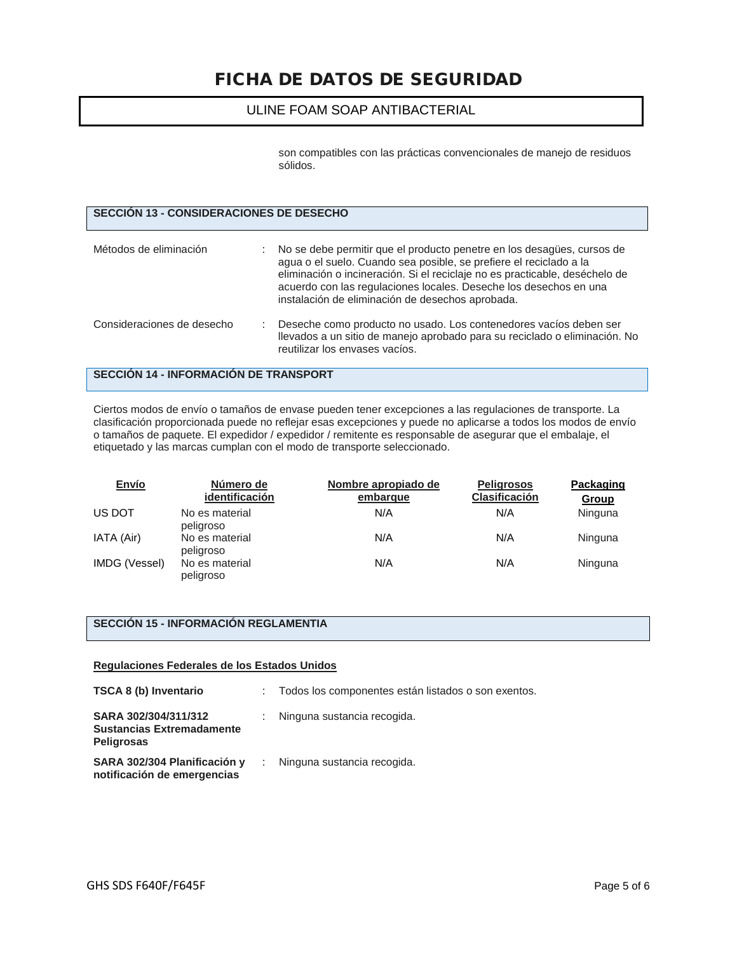#### ULINE FOAM SOAP ANTIBACTERIAL

son compatibles con las prácticas convencionales de manejo de residuos sólidos.

| SECCIÓN 13 - CONSIDERACIONES DE DESECHO |                                                                                                                                                                                                                                                                                                                                                        |
|-----------------------------------------|--------------------------------------------------------------------------------------------------------------------------------------------------------------------------------------------------------------------------------------------------------------------------------------------------------------------------------------------------------|
| Métodos de eliminación                  | : No se debe permitir que el producto penetre en los desagües, cursos de<br>agua o el suelo. Cuando sea posible, se prefiere el reciclado a la<br>eliminación o incineración. Si el reciclaje no es practicable, deséchelo de<br>acuerdo con las regulaciones locales. Deseche los desechos en una<br>instalación de eliminación de desechos aprobada. |
| Consideraciones de desecho              | Deseche como producto no usado. Los contenedores vacíos deben ser<br>Ilevados a un sitio de manejo aprobado para su reciclado o eliminación. No<br>reutilizar los envases vacíos.                                                                                                                                                                      |

### **SECCIÓN 14 - INFORMACIÓN DE TRANSPORT**

Ciertos modos de envío o tamaños de envase pueden tener excepciones a las regulaciones de transporte. La clasificación proporcionada puede no reflejar esas excepciones y puede no aplicarse a todos los modos de envío o tamaños de paquete. El expedidor / expedidor / remitente es responsable de asegurar que el embalaje, el etiquetado y las marcas cumplan con el modo de transporte seleccionado.

| Envío         | Número de<br>identificación | Nombre apropiado de<br>embarque | <b>Peligrosos</b><br><b>Clasificación</b> | Packaging<br>Group |
|---------------|-----------------------------|---------------------------------|-------------------------------------------|--------------------|
| US DOT        | No es material<br>peligroso | N/A                             | N/A                                       | Ninguna            |
| IATA (Air)    | No es material<br>peligroso | N/A                             | N/A                                       | Ninguna            |
| IMDG (Vessel) | No es material<br>peligroso | N/A                             | N/A                                       | Ninguna            |

# **SECCIÓN 15 - INFORMACIÓN REGLAMENTIA**

#### **Regulaciones Federales de los Estados Unidos**

| TSCA 8 (b) Inventario                                                         | : Todos los componentes están listados o son exentos. |
|-------------------------------------------------------------------------------|-------------------------------------------------------|
| SARA 302/304/311/312<br><b>Sustancias Extremadamente</b><br><b>Peligrosas</b> | : Ninguna sustancia recogida.                         |
| SARA 302/304 Planificación y<br>notificación de emergencias                   | : Ninguna sustancia recogida.                         |